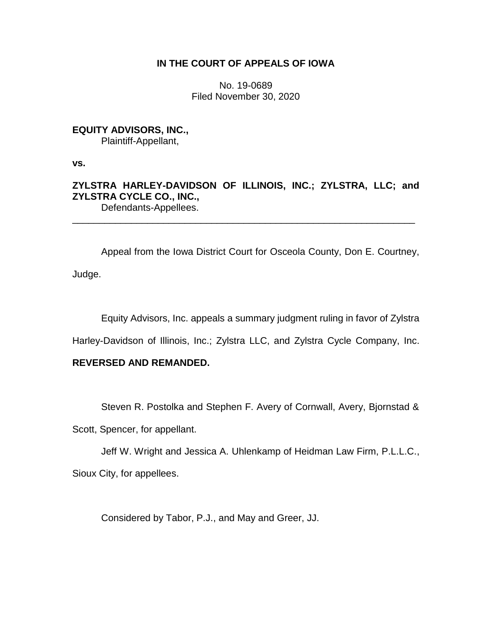## **IN THE COURT OF APPEALS OF IOWA**

No. 19-0689 Filed November 30, 2020

# **EQUITY ADVISORS, INC.,**

Plaintiff-Appellant,

**vs.**

**ZYLSTRA HARLEY-DAVIDSON OF ILLINOIS, INC.; ZYLSTRA, LLC; and ZYLSTRA CYCLE CO., INC.,** Defendants-Appellees.

\_\_\_\_\_\_\_\_\_\_\_\_\_\_\_\_\_\_\_\_\_\_\_\_\_\_\_\_\_\_\_\_\_\_\_\_\_\_\_\_\_\_\_\_\_\_\_\_\_\_\_\_\_\_\_\_\_\_\_\_\_\_\_\_

Appeal from the Iowa District Court for Osceola County, Don E. Courtney, Judge.

Equity Advisors, Inc. appeals a summary judgment ruling in favor of Zylstra

Harley-Davidson of Illinois, Inc.; Zylstra LLC, and Zylstra Cycle Company, Inc.

# **REVERSED AND REMANDED.**

Steven R. Postolka and Stephen F. Avery of Cornwall, Avery, Bjornstad &

Scott, Spencer, for appellant.

Jeff W. Wright and Jessica A. Uhlenkamp of Heidman Law Firm, P.L.L.C.,

Sioux City, for appellees.

Considered by Tabor, P.J., and May and Greer, JJ.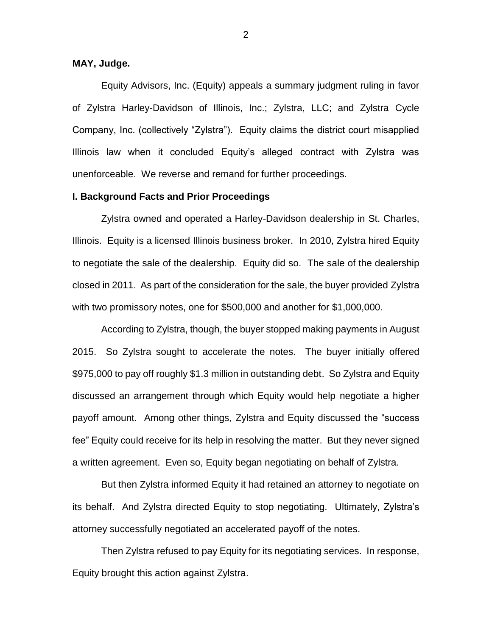### **MAY, Judge.**

Equity Advisors, Inc. (Equity) appeals a summary judgment ruling in favor of Zylstra Harley-Davidson of Illinois, Inc.; Zylstra, LLC; and Zylstra Cycle Company, Inc. (collectively "Zylstra"). Equity claims the district court misapplied Illinois law when it concluded Equity's alleged contract with Zylstra was unenforceable. We reverse and remand for further proceedings.

#### **I. Background Facts and Prior Proceedings**

Zylstra owned and operated a Harley-Davidson dealership in St. Charles, Illinois. Equity is a licensed Illinois business broker. In 2010, Zylstra hired Equity to negotiate the sale of the dealership. Equity did so. The sale of the dealership closed in 2011. As part of the consideration for the sale, the buyer provided Zylstra with two promissory notes, one for \$500,000 and another for \$1,000,000.

According to Zylstra, though, the buyer stopped making payments in August 2015. So Zylstra sought to accelerate the notes. The buyer initially offered \$975,000 to pay off roughly \$1.3 million in outstanding debt. So Zylstra and Equity discussed an arrangement through which Equity would help negotiate a higher payoff amount. Among other things, Zylstra and Equity discussed the "success fee" Equity could receive for its help in resolving the matter. But they never signed a written agreement. Even so, Equity began negotiating on behalf of Zylstra.

But then Zylstra informed Equity it had retained an attorney to negotiate on its behalf. And Zylstra directed Equity to stop negotiating. Ultimately, Zylstra's attorney successfully negotiated an accelerated payoff of the notes.

Then Zylstra refused to pay Equity for its negotiating services. In response, Equity brought this action against Zylstra.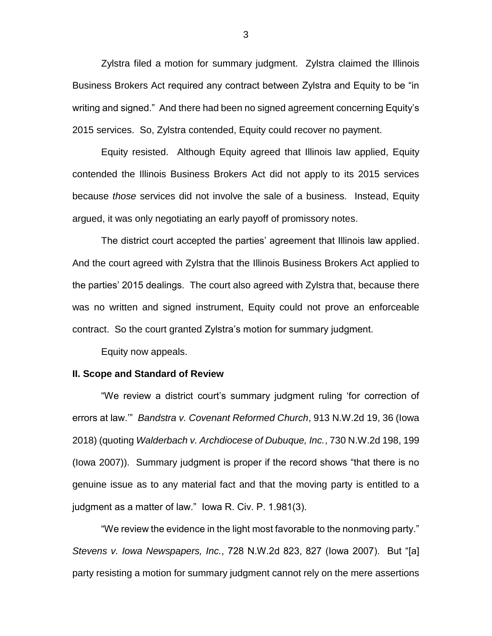Zylstra filed a motion for summary judgment. Zylstra claimed the Illinois Business Brokers Act required any contract between Zylstra and Equity to be "in writing and signed." And there had been no signed agreement concerning Equity's 2015 services. So, Zylstra contended, Equity could recover no payment.

Equity resisted. Although Equity agreed that Illinois law applied, Equity contended the Illinois Business Brokers Act did not apply to its 2015 services because *those* services did not involve the sale of a business. Instead, Equity argued, it was only negotiating an early payoff of promissory notes.

The district court accepted the parties' agreement that Illinois law applied. And the court agreed with Zylstra that the Illinois Business Brokers Act applied to the parties' 2015 dealings. The court also agreed with Zylstra that, because there was no written and signed instrument, Equity could not prove an enforceable contract. So the court granted Zylstra's motion for summary judgment.

Equity now appeals.

#### **II. Scope and Standard of Review**

"We review a district court's summary judgment ruling 'for correction of errors at law.'" *Bandstra v. Covenant Reformed Church*, 913 N.W.2d 19, 36 (Iowa 2018) (quoting *Walderbach v. Archdiocese of Dubuque, Inc.*, 730 N.W.2d 198, 199 (Iowa 2007)). Summary judgment is proper if the record shows "that there is no genuine issue as to any material fact and that the moving party is entitled to a judgment as a matter of law." Iowa R. Civ. P. 1.981(3).

"We review the evidence in the light most favorable to the nonmoving party." *Stevens v. Iowa Newspapers, Inc.*, 728 N.W.2d 823, 827 (Iowa 2007). But "[a] party resisting a motion for summary judgment cannot rely on the mere assertions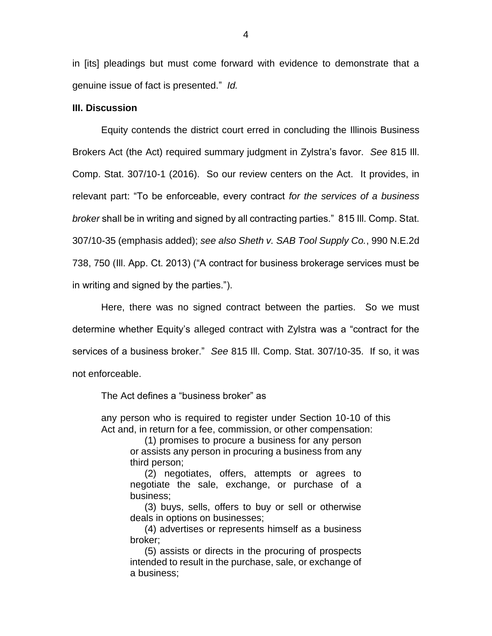in [its] pleadings but must come forward with evidence to demonstrate that a genuine issue of fact is presented." *Id.*

#### **III. Discussion**

Equity contends the district court erred in concluding the Illinois Business Brokers Act (the Act) required summary judgment in Zylstra's favor. *See* 815 Ill. Comp. Stat. 307/10-1 (2016). So our review centers on the Act. It provides, in relevant part: "To be enforceable, every contract *for the services of a business broker* shall be in writing and signed by all contracting parties." 815 Ill. Comp. Stat. 307/10-35 (emphasis added); *see also Sheth v. SAB Tool Supply Co.*, 990 N.E.2d 738, 750 (Ill. App. Ct. 2013) ("A contract for business brokerage services must be in writing and signed by the parties.").

Here, there was no signed contract between the parties. So we must determine whether Equity's alleged contract with Zylstra was a "contract for the services of a business broker." *See* 815 Ill. Comp. Stat. 307/10-35. If so, it was not enforceable.

The Act defines a "business broker" as

any person who is required to register under Section 10-10 of this Act and, in return for a fee, commission, or other compensation:

(1) promises to procure a business for any person or assists any person in procuring a business from any third person;

(2) negotiates, offers, attempts or agrees to negotiate the sale, exchange, or purchase of a business;

(3) buys, sells, offers to buy or sell or otherwise deals in options on businesses;

(4) advertises or represents himself as a business broker;

(5) assists or directs in the procuring of prospects intended to result in the purchase, sale, or exchange of a business;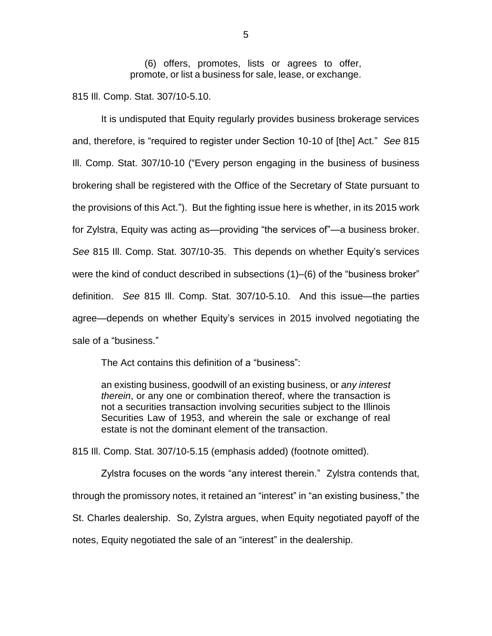(6) offers, promotes, lists or agrees to offer, promote, or list a business for sale, lease, or exchange.

815 Ill. Comp. Stat. 307/10-5.10.

It is undisputed that Equity regularly provides business brokerage services and, therefore, is "required to register under Section 10-10 of [the] Act." *See* 815 Ill. Comp. Stat. 307/10-10 ("Every person engaging in the business of business brokering shall be registered with the Office of the Secretary of State pursuant to the provisions of this Act."). But the fighting issue here is whether, in its 2015 work for Zylstra, Equity was acting as—providing "the services of"—a business broker. *See* 815 Ill. Comp. Stat. 307/10-35. This depends on whether Equity's services were the kind of conduct described in subsections (1)–(6) of the "business broker" definition. *See* 815 Ill. Comp. Stat. 307/10-5.10. And this issue—the parties agree—depends on whether Equity's services in 2015 involved negotiating the sale of a "business."

The Act contains this definition of a "business":

an existing business, goodwill of an existing business, or *any interest therein*, or any one or combination thereof, where the transaction is not a securities transaction involving securities subject to the Illinois Securities Law of 1953, and wherein the sale or exchange of real estate is not the dominant element of the transaction.

815 Ill. Comp. Stat. 307/10-5.15 (emphasis added) (footnote omitted).

Zylstra focuses on the words "any interest therein." Zylstra contends that, through the promissory notes, it retained an "interest" in "an existing business," the St. Charles dealership. So, Zylstra argues, when Equity negotiated payoff of the notes, Equity negotiated the sale of an "interest" in the dealership.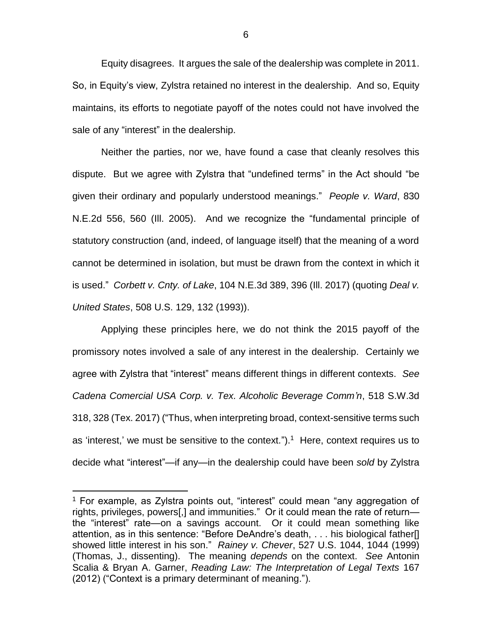Equity disagrees. It argues the sale of the dealership was complete in 2011. So, in Equity's view, Zylstra retained no interest in the dealership. And so, Equity maintains, its efforts to negotiate payoff of the notes could not have involved the sale of any "interest" in the dealership.

Neither the parties, nor we, have found a case that cleanly resolves this dispute. But we agree with Zylstra that "undefined terms" in the Act should "be given their ordinary and popularly understood meanings." *People v. Ward*, 830 N.E.2d 556, 560 (Ill. 2005). And we recognize the "fundamental principle of statutory construction (and, indeed, of language itself) that the meaning of a word cannot be determined in isolation, but must be drawn from the context in which it is used." *Corbett v. Cnty. of Lake*, 104 N.E.3d 389, 396 (Ill. 2017) (quoting *Deal v. United States*, 508 U.S. 129, 132 (1993)).

Applying these principles here, we do not think the 2015 payoff of the promissory notes involved a sale of any interest in the dealership. Certainly we agree with Zylstra that "interest" means different things in different contexts. *See Cadena Comercial USA Corp. v. Tex. Alcoholic Beverage Comm'n*, 518 S.W.3d 318, 328 (Tex. 2017) ("Thus, when interpreting broad, context-sensitive terms such as 'interest,' we must be sensitive to the context.").<sup>1</sup> Here, context requires us to decide what "interest"—if any—in the dealership could have been *sold* by Zylstra

 $\overline{a}$ 

<sup>&</sup>lt;sup>1</sup> For example, as Zylstra points out, "interest" could mean "any aggregation of rights, privileges, powers[,] and immunities." Or it could mean the rate of return the "interest" rate—on a savings account. Or it could mean something like attention, as in this sentence: "Before DeAndre's death, . . . his biological father[] showed little interest in his son." *Rainey v. Chever*, 527 U.S. 1044, 1044 (1999) (Thomas, J., dissenting). The meaning *depends* on the context. *See* Antonin Scalia & Bryan A. Garner, *Reading Law: The Interpretation of Legal Texts* 167 (2012) ("Context is a primary determinant of meaning.").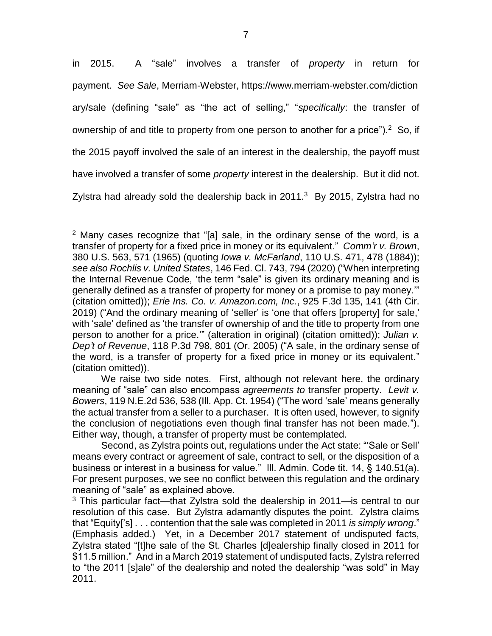in 2015. A "sale" involves a transfer of *property* in return for payment. *See Sale*, Merriam-Webster, https://www.merriam-webster.com/diction ary/sale (defining "sale" as "the act of selling," "*specifically*: the transfer of ownership of and title to property from one person to another for a price").  $2$  So, if the 2015 payoff involved the sale of an interest in the dealership, the payoff must have involved a transfer of some *property* interest in the dealership. But it did not. Zylstra had already sold the dealership back in  $2011.^3$  By 2015, Zylstra had no

 $\overline{a}$ 

<sup>&</sup>lt;sup>2</sup> Many cases recognize that "[a] sale, in the ordinary sense of the word, is a transfer of property for a fixed price in money or its equivalent." *Comm'r v. Brown*, 380 U.S. 563, 571 (1965) (quoting *Iowa v. McFarland*, 110 U.S. 471, 478 (1884)); *see also Rochlis v. United States*, 146 Fed. Cl. 743, 794 (2020) ("When interpreting the Internal Revenue Code, 'the term "sale" is given its ordinary meaning and is generally defined as a transfer of property for money or a promise to pay money.'" (citation omitted)); *Erie Ins. Co. v. Amazon.com, Inc.*, 925 F.3d 135, 141 (4th Cir. 2019) ("And the ordinary meaning of 'seller' is 'one that offers [property] for sale,' with 'sale' defined as 'the transfer of ownership of and the title to property from one person to another for a price.'" (alteration in original) (citation omitted)); *Julian v. Dep't of Revenue*, 118 P.3d 798, 801 (Or. 2005) ("A sale, in the ordinary sense of the word, is a transfer of property for a fixed price in money or its equivalent." (citation omitted)).

We raise two side notes. First, although not relevant here, the ordinary meaning of "sale" can also encompass *agreements to* transfer property. *Levit v. Bowers*, 119 N.E.2d 536, 538 (Ill. App. Ct. 1954) ("The word 'sale' means generally the actual transfer from a seller to a purchaser. It is often used, however, to signify the conclusion of negotiations even though final transfer has not been made."). Either way, though, a transfer of property must be contemplated.

Second, as Zylstra points out, regulations under the Act state: "'Sale or Sell' means every contract or agreement of sale, contract to sell, or the disposition of a business or interest in a business for value." Ill. Admin. Code tit. 14, § 140.51(a). For present purposes, we see no conflict between this regulation and the ordinary meaning of "sale" as explained above.

 $3$  This particular fact—that Zylstra sold the dealership in 2011—is central to our resolution of this case. But Zylstra adamantly disputes the point. Zylstra claims that "Equity['s] . . . contention that the sale was completed in 2011 *is simply wrong*." (Emphasis added.) Yet, in a December 2017 statement of undisputed facts, Zylstra stated "[t]he sale of the St. Charles [d]ealership finally closed in 2011 for \$11.5 million." And in a March 2019 statement of undisputed facts, Zylstra referred to "the 2011 [s]ale" of the dealership and noted the dealership "was sold" in May 2011.